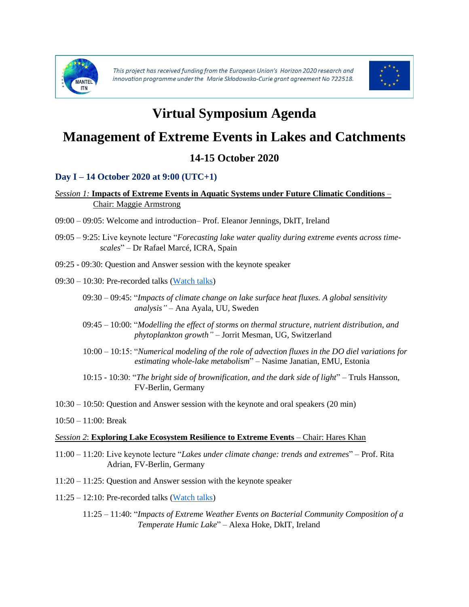



# **Virtual Symposium Agenda**

# **Management of Extreme Events in Lakes and Catchments**

# **14-15 October 2020**

## **Day I – 14 October 2020 at 9:00 (UTC+1)**

### *Session 1:* **Impacts of Extreme Events in Aquatic Systems under Future Climatic Conditions** – Chair: Maggie Armstrong

- 09:00 09:05: Welcome and introduction– Prof. Eleanor Jennings, DkIT, Ireland
- 09:05 9:25: Live keynote lecture "*Forecasting lake water quality during extreme events across timescales*" – Dr Rafael Marcé, ICRA, Spain
- 09:25 09:30: Question and Answer session with the keynote speaker
- 09:30 10:30: Pre-recorded talks [\(Watch talks\)](https://www.mantel-itn.org/speakers)
	- 09:30 09:45: "*Impacts of climate change on lake surface heat fluxes. A global sensitivity analysis"* – Ana Ayala, UU, Sweden
	- 09:45 10:00: "*Modelling the effect of storms on thermal structure, nutrient distribution, and phytoplankton growth"* – Jorrit Mesman, UG, Switzerland
	- 10:00 10:15: "*Numerical modeling of the role of advection fluxes in the DO diel variations for estimating whole-lake metabolism*" – Nasime Janatian, EMU, Estonia
	- 10:15 10:30: "*The bright side of brownification, and the dark side of light*" Truls Hansson, FV-Berlin, Germany
- 10:30 10:50: Question and Answer session with the keynote and oral speakers (20 min)
- 10:50 11:00: Break

#### *Session 2*: **Exploring Lake Ecosystem Resilience to Extreme Events** – Chair: Hares Khan

- 11:00 11:20: Live keynote lecture "*Lakes under climate change: trends and extremes*" Prof. Rita Adrian, FV-Berlin, Germany
- 11:20 11:25: Question and Answer session with the keynote speaker
- 11:25 12:10: Pre-recorded talks [\(Watch talks\)](https://www.mantel-itn.org/speakers)
	- 11:25 11:40: "*Impacts of Extreme Weather Events on Bacterial Community Composition of a Temperate Humic Lake*" – Alexa Hoke, DkIT, Ireland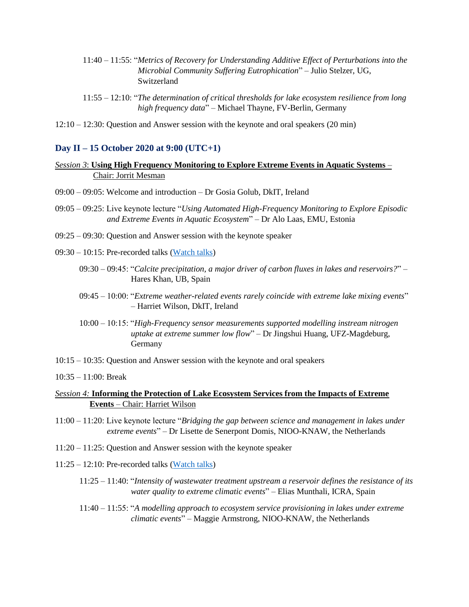- 11:40 11:55: "*Metrics of Recovery for Understanding Additive Effect of Perturbations into the Microbial Community Suffering Eutrophication*" – Julio Stelzer, UG, Switzerland
- 11:55 12:10: "*The determination of critical thresholds for lake ecosystem resilience from long high frequency data*" – Michael Thayne, FV-Berlin, Germany
- 12:10 12:30: Question and Answer session with the keynote and oral speakers (20 min)

#### **Day II – 15 October 2020 at 9:00 (UTC+1)**

- *Session 3*: **Using High Frequency Monitoring to Explore Extreme Events in Aquatic Systems** Chair: Jorrit Mesman
- 09:00 09:05: Welcome and introduction Dr Gosia Golub, DkIT, Ireland
- 09:05 09:25: Live keynote lecture "*Using Automated High-Frequency Monitoring to Explore Episodic and Extreme Events in Aquatic Ecosystem*" – Dr Alo Laas, EMU, Estonia
- 09:25 09:30: Question and Answer session with the keynote speaker
- 09:30 10:15: Pre-recorded talks [\(Watch talks\)](https://www.mantel-itn.org/speakers)
	- 09:30 09:45: "*Calcite precipitation, a major driver of carbon fluxes in lakes and reservoirs?*" Hares Khan, UB, Spain
	- 09:45 10:00: "*Extreme weather-related events rarely coincide with extreme lake mixing events*" – Harriet Wilson, DkIT, Ireland
	- 10:00 10:15: "*High-Frequency sensor measurements supported modelling instream nitrogen uptake at extreme summer low flow*" – Dr Jingshui Huang, UFZ-Magdeburg, Germany
- 10:15 10:35: Question and Answer session with the keynote and oral speakers
- 10:35 11:00: Break
- *Session 4:* **Informing the Protection of Lake Ecosystem Services from the Impacts of Extreme Events** – Chair: Harriet Wilson
- 11:00 11:20: Live keynote lecture "*Bridging the gap between science and management in lakes under extreme events*" – Dr Lisette de Senerpont Domis, NIOO-KNAW, the Netherlands
- 11:20 11:25: Question and Answer session with the keynote speaker
- 11:25 12:10: Pre-recorded talks [\(Watch talks\)](https://www.mantel-itn.org/speakers)
	- 11:25 11:40: "*Intensity of wastewater treatment upstream a reservoir defines the resistance of its water quality to extreme climatic events*" – Elias Munthali, ICRA, Spain
	- 11:40 11:55: "*A modelling approach to ecosystem service provisioning in lakes under extreme climatic events*" – Maggie Armstrong, NIOO-KNAW, the Netherlands